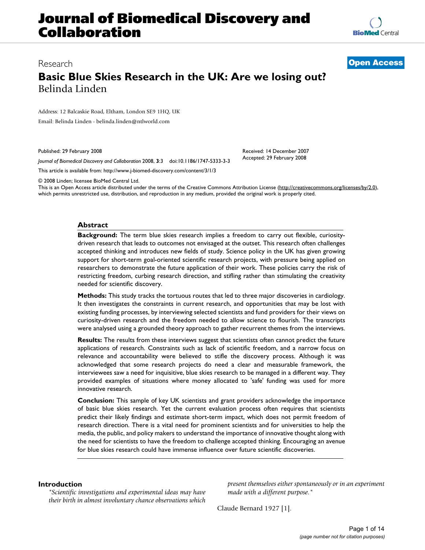# **Journal of Biomedical Discovery and Collaboration**

**[BioMed](http://www.biomedcentral.com/)** Central

## Research **[Open Access](http://www.biomedcentral.com/info/about/charter/)**

## **Basic Blue Skies Research in the UK: Are we losing out?** Belinda Linden

Address: 12 Balcaskie Road, Eltham, London SE9 1HQ, UK Email: Belinda Linden - belinda.linden@ntlworld.com

Published: 29 February 2008

*Journal of Biomedical Discovery and Collaboration* 2008, **3**:3 doi:10.1186/1747-5333-3-3

[This article is available from: http://www.j-biomed-discovery.com/content/3/1/3](http://www.j-biomed-discovery.com/content/3/1/3)

Received: 14 December 2007 Accepted: 29 February 2008

© 2008 Linden; licensee BioMed Central Ltd.

This is an Open Access article distributed under the terms of the Creative Commons Attribution License [\(http://creativecommons.org/licenses/by/2.0\)](http://creativecommons.org/licenses/by/2.0), which permits unrestricted use, distribution, and reproduction in any medium, provided the original work is properly cited.

### **Abstract**

**Background:** The term blue skies research implies a freedom to carry out flexible, curiositydriven research that leads to outcomes not envisaged at the outset. This research often challenges accepted thinking and introduces new fields of study. Science policy in the UK has given growing support for short-term goal-oriented scientific research projects, with pressure being applied on researchers to demonstrate the future application of their work. These policies carry the risk of restricting freedom, curbing research direction, and stifling rather than stimulating the creativity needed for scientific discovery.

**Methods:** This study tracks the tortuous routes that led to three major discoveries in cardiology. It then investigates the constraints in current research, and opportunities that may be lost with existing funding processes, by interviewing selected scientists and fund providers for their views on curiosity-driven research and the freedom needed to allow science to flourish. The transcripts were analysed using a grounded theory approach to gather recurrent themes from the interviews.

**Results:** The results from these interviews suggest that scientists often cannot predict the future applications of research. Constraints such as lack of scientific freedom, and a narrow focus on relevance and accountability were believed to stifle the discovery process. Although it was acknowledged that some research projects do need a clear and measurable framework, the interviewees saw a need for inquisitive, blue skies research to be managed in a different way. They provided examples of situations where money allocated to 'safe' funding was used for more innovative research.

**Conclusion:** This sample of key UK scientists and grant providers acknowledge the importance of basic blue skies research. Yet the current evaluation process often requires that scientists predict their likely findings and estimate short-term impact, which does not permit freedom of research direction. There is a vital need for prominent scientists and for universities to help the media, the public, and policy makers to understand the importance of innovative thought along with the need for scientists to have the freedom to challenge accepted thinking. Encouraging an avenue for blue skies research could have immense influence over future scientific discoveries.

## **Introduction**

*"Scientific investigations and experimental ideas may have their birth in almost involuntary chance observations which* *present themselves either spontaneously or in an experiment made with a different purpose."*

Claude Bernard 1927 [1].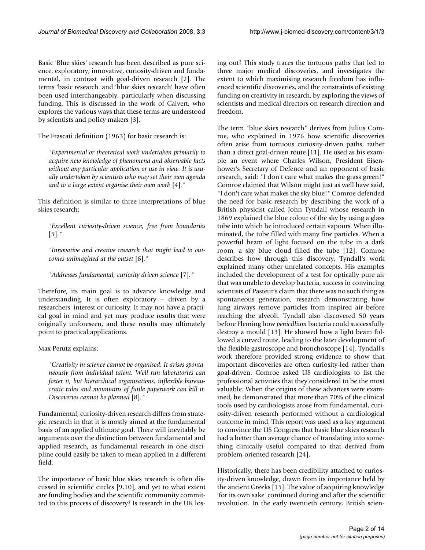Basic 'Blue skies' research has been described as pure science, exploratory, innovative, curiosity-driven and fundamental, in contrast with goal-driven research [2]. The terms 'basic research' and 'blue skies research' have often been used interchangeably, particularly when discussing funding. This is discussed in the work of Calvert, who explores the various ways that these terms are understood by scientists and policy makers [3].

The Frascati definition (1963) for basic research is:

*"Experimental or theoretical work undertaken primarily to acquire new knowledge of phenomena and observable facts without any particular application or use in view. It is usually undertaken by scientists who may set their own agenda and to a large extent organise their own work* [4]*."*

This definition is similar to three interpretations of blue skies research:

*"Excellent curiosity-driven science, free from boundaries* [5]*."*

*"Innovative and creative research that might lead to outcomes unimagined at the outset* [6]*."*

*"Addresses fundamental, curiosity driven science* [7]*."*

Therefore, its main goal is to advance knowledge and understanding. It is often exploratory – driven by a researchers' interest or curiosity. It may not have a practical goal in mind and yet may produce results that were originally unforeseen, and these results may ultimately point to practical applications.

Max Perutz explains:

*"Creativity in science cannot be organised. It arises spontaneously from individual talent. Well run laboratories can foster it, but hierarchical organisations, inflexible bureaucratic rules and mountains of futile paperwork can kill it. Discoveries cannot be planned* [8]*."*

Fundamental, curiosity-driven research differs from strategic research in that it is mostly aimed at the fundamental basis of an applied ultimate goal. There will inevitably be arguments over the distinction between fundamental and applied research, as fundamental research in one discipline could easily be taken to mean applied in a different field.

The importance of basic blue skies research is often discussed in scientific circles [9,10], and yet to what extent are funding bodies and the scientific community committed to this process of discovery? Is research in the UK losing out? This study traces the tortuous paths that led to three major medical discoveries, and investigates the extent to which maximising research freedom has influenced scientific discoveries, and the constraints of existing funding on creativity in research, by exploring the views of scientists and medical directors on research direction and freedom.

The term "blue skies research" derives from Julius Comroe, who explained in 1976 how scientific discoveries often arise from tortuous curiosity-driven paths, rather than a direct goal-driven route [11]. He used as his example an event where Charles Wilson, President Eisenhower's Secretary of Defence and an opponent of basic research, said: "I don't care what makes the grass green!" Comroe claimed that Wilson might just as well have said, "I don't care what makes the sky blue!" Comroe defended the need for basic research by describing the work of a British physicist called John Tyndall whose research in 1869 explained the blue colour of the sky by using a glass tube into which he introduced certain vapours. When illuminated, the tube filled with many fine particles. When a powerful beam of light focused on the tube in a dark room, a sky blue cloud filled the tube [12]. Comroe describes how through this discovery, Tyndall's work explained many other unrelated concepts. His examples included the development of a test for optically pure air that was unable to develop bacteria, success in convincing scientists of Pasteur's claim that there was no such thing as spontaneous generation, research demonstrating how lung airways remove particles from inspired air before reaching the alveoli. Tyndall also discovered 50 years before Fleming how *penicillium* bacteria could successfully destroy a mould [13]. He showed how a light beam followed a curved route, leading to the later development of the flexible gastroscope and bronchoscope [14]. Tyndall's work therefore provided strong evidence to show that important discoveries are often curiosity-led rather than goal-driven. Comroe asked US cardiologists to list the professional activities that they considered to be the most valuable. When the origins of these advances were examined, he demonstrated that more than 70% of the clinical tools used by cardiologists arose from fundamental, curiosity-driven research performed without a cardiological outcome in mind. This report was used as a key argument to convince the US Congress that basic blue skies research had a better than average chance of translating into something clinically useful compared to that derived from problem-oriented research [24].

Historically, there has been credibility attached to curiosity-driven knowledge, drawn from its importance held by the ancient Greeks [15]. The value of acquiring knowledge 'for its own sake' continued during and after the scientific revolution. In the early twentieth century, British scien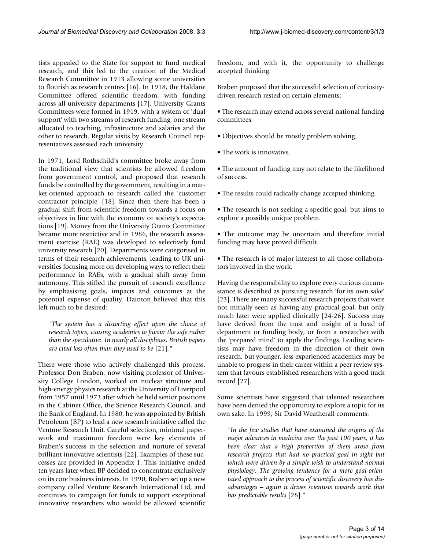tists appealed to the State for support to fund medical research, and this led to the creation of the Medical Research Committee in 1913 allowing some universities to flourish as research centres [16]. In 1918, the Haldane Committee offered scientific freedom, with funding across all university departments [17]. University Grants Committees were formed in 1919, with a system of 'dual support' with two streams of research funding, one stream allocated to teaching, infrastructure and salaries and the other to research. Regular visits by Research Council representatives assessed each university.

In 1971, Lord Rothschild's committee broke away from the traditional view that scientists be allowed freedom from government control, and proposed that research funds be controlled by the government, resulting in a market-oriented approach to research called the 'customer contractor principle' [18]. Since then there has been a gradual shift from scientific freedom towards a focus on objectives in line with the economy or society's expectations [19]. Money from the University Grants Committee became more restrictive and in 1986, the research assessment exercise (RAE) was developed to selectively fund university research [20]. Departments were categorised in terms of their research achievements, leading to UK universities focusing more on developing ways to reflect their performance in RAEs, with a gradual shift away from autonomy. This stifled the pursuit of research excellence by emphasising goals, impacts and outcomes at the potential expense of quality. Dainton believed that this left much to be desired:

*"The system has a distorting effect upon the choice of research topics, causing academics to favour the safe rather than the speculative. In nearly all disciplines, British papers are cited less often than they used to be* [21]*."*

There were those who actively challenged this process. Professor Don Braben, now visiting professor of University College London, worked on nuclear structure and high-energy physics research at the University of Liverpool from 1957 until 1973 after which he held senior positions in the Cabinet Office, the Science Research Council, and the Bank of England. In 1980, he was appointed by British Petroleum (BP) to lead a new research initiative called the Venture Research Unit. Careful selection, minimal paperwork and maximum freedom were key elements of Braben's success in the selection and nurture of several brilliant innovative scientists [22]. Examples of these successes are provided in Appendix 1. This initiative ended ten years later when BP decided to concentrate exclusively on its core business interests. In 1990, Braben set up a new company called Venture Research International Ltd, and continues to campaign for funds to support exceptional innovative researchers who would be allowed scientific freedom, and with it, the opportunity to challenge accepted thinking.

Braben proposed that the successful selection of curiositydriven research rested on certain elements:

- The research may extend across several national funding committees.
- Objectives should be mostly problem solving.
- The work is innovative.

• The amount of funding may not relate to the likelihood of success.

• The results could radically change accepted thinking.

• The research is not seeking a specific goal, but aims to explore a possibly unique problem.

• The outcome may be uncertain and therefore initial funding may have proved difficult.

• The research is of major interest to all those collaborators involved in the work.

Having the responsibility to explore every curious circumstance is described as pursuing research 'for its own sake' [23]. There are many successful research projects that were not initially seen as having any practical goal, but only much later were applied clinically [24-26]. Success may have derived from the trust and insight of a head of department or funding body, or from a researcher with the 'prepared mind' to apply the findings. Leading scientists may have freedom in the direction of their own research, but younger, less experienced academics may be unable to progress in their career within a peer review system that favours established researchers with a good track record [27].

Some scientists have suggested that talented researchers have been denied the opportunity to explore a topic for its own sake. In 1999, Sir David Weatherall comments:

*"In the few studies that have examined the origins of the major advances in medicine over the past 100 years, it has been clear that a high proportion of them arose from research projects that had no practical goal in sight but which were driven by a simple wish to understand normal physiology. The growing tendency for a more goal-orientated approach to the process of scientific discovery has disadvantages – again it drives scientists towards work that has predictable results* [28]*."*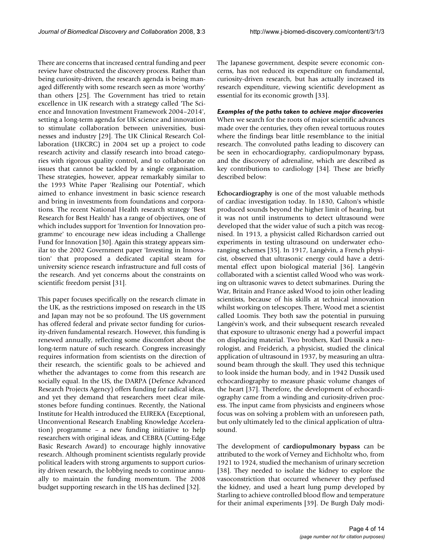There are concerns that increased central funding and peer review have obstructed the discovery process. Rather than being curiosity-driven, the research agenda is being managed differently with some research seen as more 'worthy' than others [25]. The Government has tried to retain excellence in UK research with a strategy called 'The Science and Innovation Investment Framework 2004–2014', setting a long-term agenda for UK science and innovation to stimulate collaboration between universities, businesses and industry [29]. The UK Clinical Research Collaboration (UKCRC) in 2004 set up a project to code research activity and classify research into broad categories with rigorous quality control, and to collaborate on issues that cannot be tackled by a single organisation. These strategies, however, appear remarkably similar to the 1993 White Paper 'Realising our Potential', which aimed to enhance investment in basic science research and bring in investments from foundations and corporations. The recent National Health research strategy 'Best Research for Best Health' has a range of objectives, one of which includes support for 'Invention for Innovation programme' to encourage new ideas including a Challenge Fund for Innovation [30]. Again this strategy appears similar to the 2002 Government paper 'Investing in Innovation' that proposed a dedicated capital steam for university science research infrastructure and full costs of the research. And yet concerns about the constraints on scientific freedom persist [31].

This paper focuses specifically on the research climate in the UK, as the restrictions imposed on research in the US and Japan may not be so profound. The US government has offered federal and private sector funding for curiosity-driven fundamental research. However, this funding is renewed annually, reflecting some discomfort about the long-term nature of such research. Congress increasingly requires information from scientists on the direction of their research, the scientific goals to be achieved and whether the advantages to come from this research are socially equal. In the US, the DARPA (Defence Advanced Research Projects Agency) offers funding for radical ideas, and yet they demand that researchers meet clear milestones before funding continues. Recently, the National Institute for Health introduced the EUREKA (Exceptional, Unconventional Research Enabling Knowledge Acceleration) programme – a new funding initiative to help researchers with original ideas, and CEBRA (Cutting-Edge Basic Research Award) to encourage highly innovative research. Although prominent scientists regularly provide political leaders with strong arguments to support curiosity driven research, the lobbying needs to continue annually to maintain the funding momentum. The 2008 budget supporting research in the US has declined [32].

The Japanese government, despite severe economic concerns, has not reduced its expenditure on fundamental, curiosity-driven research, but has actually increased its research expenditure, viewing scientific development as essential for its economic growth [33].

#### *Examples of the paths taken to achieve major discoveries*

When we search for the roots of major scientific advances made over the centuries, they often reveal tortuous routes where the findings bear little resemblance to the initial research. The convoluted paths leading to discovery can be seen in echocardiography, cardiopulmonary bypass, and the discovery of adrenaline, which are described as key contributions to cardiology [34]. These are briefly described below:

**Echocardiography** is one of the most valuable methods of cardiac investigation today. In 1830, Galton's whistle produced sounds beyond the higher limit of hearing, but it was not until instruments to detect ultrasound were developed that the wider value of such a pitch was recognised. In 1913, a physicist called Richardson carried out experiments in testing ultrasound on underwater echoranging schemes [35]. In 1917, Langévin, a French physicist, observed that ultrasonic energy could have a detrimental effect upon biological material [36]. Langévin collaborated with a scientist called Wood who was working on ultrasonic waves to detect submarines. During the War, Britain and France asked Wood to join other leading scientists, because of his skills at technical innovation whilst working on telescopes. There, Wood met a scientist called Loomis. They both saw the potential in pursuing Langévin's work, and their subsequent research revealed that exposure to ultrasonic energy had a powerful impact on displacing material. Two brothers, Karl Dussik a neurologist, and Freiderich, a physicist, studied the clinical application of ultrasound in 1937, by measuring an ultrasound beam through the skull. They used this technique to look inside the human body, and in 1942 Dussik used echocardiography to measure phasic volume changes of the heart [37]. Therefore, the development of echocardiography came from a winding and curiosity-driven process. The input came from physicists and engineers whose focus was on solving a problem with an unforeseen path, but only ultimately led to the clinical application of ultrasound.

The development of **cardiopulmonary bypass** can be attributed to the work of Verney and Eichholtz who, from 1921 to 1924, studied the mechanism of urinary secretion [38]. They needed to isolate the kidney to explore the vasoconstriction that occurred whenever they perfused the kidney, and used a heart lung pump developed by Starling to achieve controlled blood flow and temperature for their animal experiments [39]. De Burgh Daly modi-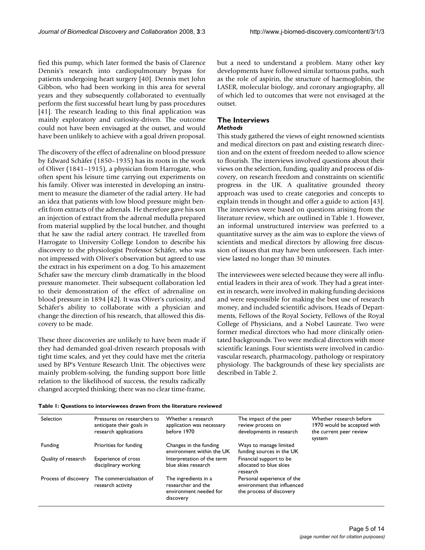fied this pump, which later formed the basis of Clarence Dennis's research into cardiopulmonary bypass for patients undergoing heart surgery [40]. Dennis met John Gibbon, who had been working in this area for several years and they subsequently collaborated to eventually perform the first successful heart lung by pass procedures [41]. The research leading to this final application was mainly exploratory and curiosity-driven. The outcome could not have been envisaged at the outset, and would have been unlikely to achieve with a goal driven proposal.

The discovery of the effect of adrenaline on blood pressure by Edward Schäfer (1850–1935) has its roots in the work of Oliver (1841–1915), a physician from Harrogate, who often spent his leisure time carrying out experiments on his family. Oliver was interested in developing an instrument to measure the diameter of the radial artery. He had an idea that patients with low blood pressure might benefit from extracts of the adrenals. He therefore gave his son an injection of extract from the adrenal medulla prepared from material supplied by the local butcher, and thought that he saw the radial artery contract. He travelled from Harrogate to University College London to describe his discovery to the physiologist Professor Schäfer, who was not impressed with Oliver's observation but agreed to use the extract in his experiment on a dog. To his amazement Schafer saw the mercury climb dramatically in the blood pressure manometer. Their subsequent collaboration led to their demonstration of the effect of adrenaline on blood pressure in 1894 [42]. It was Oliver's curiosity, and Schäfer's ability to collaborate with a physician and change the direction of his research, that allowed this discovery to be made.

These three discoveries are unlikely to have been made if they had demanded goal-driven research proposals with tight time scales, and yet they could have met the criteria used by BP's Venture Research Unit. The objectives were mainly problem-solving, the funding support bore little relation to the likelihood of success, the results radically changed accepted thinking; there was no clear time-frame, but a need to understand a problem. Many other key developments have followed similar tortuous paths, such as the role of aspirin, the structure of haemoglobin, the LASER, molecular biology, and coronary angiography, all of which led to outcomes that were not envisaged at the outset.

## **The Interviews** *Methods*

This study gathered the views of eight renowned scientists and medical directors on past and existing research direction and on the extent of freedom needed to allow science to flourish. The interviews involved questions about their views on the selection, funding, quality and process of discovery, on research freedom and constraints on scientific progress in the UK. A qualitative grounded theory approach was used to create categories and concepts to explain trends in thought and offer a guide to action [43]. The interviews were based on questions arising from the literature review, which are outlined in Table 1. However, an informal unstructured interview was preferred to a quantitative survey as the aim was to explore the views of scientists and medical directors by allowing free discussion of issues that may have been unforeseen. Each interview lasted no longer than 30 minutes.

The interviewees were selected because they were all influential leaders in their area of work. They had a great interest in research, were involved in making funding decisions and were responsible for making the best use of research money, and included scientific advisors, Heads of Departments, Fellows of the Royal Society, Fellows of the Royal College of Physicians, and a Nobel Laureate. Two were former medical directors who had more clinically orientated backgrounds. Two were medical directors with more scientific leanings. Four scientists were involved in cardiovascular research, pharmacology, pathology or respiratory physiology. The backgrounds of these key specialists are described in Table 2.

|  | Table 1: Questions to interviewees drawn from the literature reviewed |
|--|-----------------------------------------------------------------------|
|--|-----------------------------------------------------------------------|

| Selection            | Pressures on researchers to<br>anticipate their goals in<br>research applications | Whether a research<br>application was necessary<br>before 1970                    | The impact of the peer<br>review process on<br>developments in research               | Whether research before<br>1970 would be accepted with<br>the current peer review<br>system |
|----------------------|-----------------------------------------------------------------------------------|-----------------------------------------------------------------------------------|---------------------------------------------------------------------------------------|---------------------------------------------------------------------------------------------|
| Funding              | Priorities for funding                                                            | Changes in the funding<br>environment within the UK                               | Ways to manage limited<br>funding sources in the UK                                   |                                                                                             |
| Quality of research  | <b>Experience of cross</b><br>disciplinary working                                | Interpretation of the term<br>blue skies research                                 | Financial support to be<br>allocated to blue skies<br>research                        |                                                                                             |
| Process of discovery | The commercialisation of<br>research activity                                     | The ingredients in a<br>researcher and the<br>environment needed for<br>discovery | Personal experience of the<br>environment that influenced<br>the process of discovery |                                                                                             |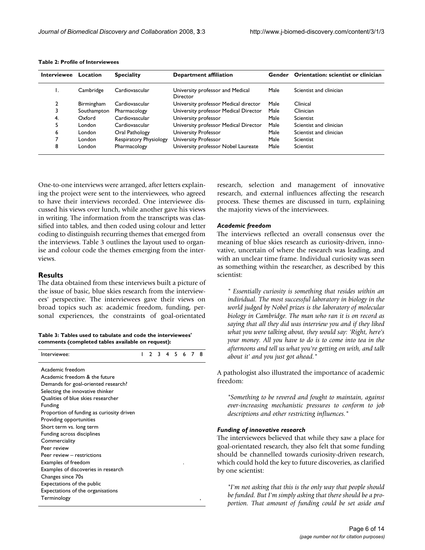| <b>Table 2: Profile of Interviewees</b> |  |
|-----------------------------------------|--|
|-----------------------------------------|--|

| Interviewee | Location    | <b>Speciality</b>      | <b>Department affiliation</b>                | Gender | Orientation: scientist or clinician |
|-------------|-------------|------------------------|----------------------------------------------|--------|-------------------------------------|
| ι.          | Cambridge   | Cardiovascular         | University professor and Medical<br>Director | Male   | Scientist and clinician             |
| 2           | Birmingham  | Cardiovascular         | University professor Medical director        | Male   | Clinical                            |
|             | Southampton | Pharmacology           | University professor Medical Director        | Male   | Clinician                           |
| 4.          | Oxford      | Cardiovascular         | University professor                         | Male   | Scientist                           |
| 5           | London      | Cardiovascular         | University professor Medical Director        | Male   | Scientist and clinician             |
| 6           | London      | Oral Pathology         | University Professor                         | Male   | Scientist and clinician             |
|             | London      | Respiratory Physiology | University Professor                         | Male   | Scientist                           |
| 8           | London      | Pharmacology           | University professor Nobel Laureate          | Male   | Scientist                           |

One-to-one interviews were arranged, after letters explaining the project were sent to the interviewees, who agreed to have their interviews recorded. One interviewee discussed his views over lunch, while another gave his views in writing. The information from the transcripts was classified into tables, and then coded using colour and letter coding to distinguish recurring themes that emerged from the interviews. Table 3 outlines the layout used to organise and colour code the themes emerging from the interviews.

#### **Results**

The data obtained from these interviews built a picture of the issue of basic, blue skies research from the interviewees' perspective. The interviewees gave their views on broad topics such as: academic freedom, funding, personal experiences, the constraints of goal-orientated

**Table 3: Tables used to tabulate and code the interviewees' comments (completed tables available on request):**

| Interviewee:                              | L |  |  | 2 3 4 5 6 7 | 8 |
|-------------------------------------------|---|--|--|-------------|---|
| Academic freedom                          |   |  |  |             |   |
| Academic freedom & the future             |   |  |  |             |   |
| Demands for goal-oriented research?       |   |  |  |             |   |
| Selecting the innovative thinker          |   |  |  |             |   |
| Qualities of blue skies researcher        |   |  |  |             |   |
| Funding                                   |   |  |  |             |   |
| Proportion of funding as curiosity driven |   |  |  |             |   |
| Providing opportunities                   |   |  |  |             |   |
| Short term vs. long term                  |   |  |  |             |   |
| Funding across disciplines                |   |  |  |             |   |
| Commerciality                             |   |  |  |             |   |
| Peer review                               |   |  |  |             |   |
| Peer review – restrictions                |   |  |  |             |   |
| Examples of freedom                       |   |  |  |             |   |
| Examples of discoveries in research       |   |  |  |             |   |
| Changes since 70s                         |   |  |  |             |   |
| Expectations of the public                |   |  |  |             |   |
| Expectations of the organisations         |   |  |  |             |   |
| Terminology                               |   |  |  |             |   |
|                                           |   |  |  |             |   |

research, selection and management of innovative research, and external influences affecting the research process. These themes are discussed in turn, explaining the majority views of the interviewees.

#### *Academic freedom*

The interviews reflected an overall consensus over the meaning of blue skies research as curiosity-driven, innovative, uncertain of where the research was leading, and with an unclear time frame. Individual curiosity was seen as something within the researcher, as described by this scientist:

*" Essentially curiosity is something that resides within an individual. The most successful laboratory in biology in the world judged by Nobel prizes is the laboratory of molecular biology in Cambridge. The man who ran it is on record as saying that all they did was interview you and if they liked what you were talking about, they would say: 'Right, here's your money. All you have to do is to come into tea in the afternoons and tell us what you're getting on with, and talk about it' and you just got ahead."*

A pathologist also illustrated the importance of academic freedom:

*"Something to be revered and fought to maintain, against ever-increasing mechanistic pressures to conform to job descriptions and other restricting influences."*

#### *Funding of innovative research*

The interviewees believed that while they saw a place for goal-orientated research, they also felt that some funding should be channelled towards curiosity-driven research, which could hold the key to future discoveries, as clarified by one scientist:

*"I'm not asking that this is the only way that people should be funded. But I'm simply asking that there should be a proportion. That amount of funding could be set aside and*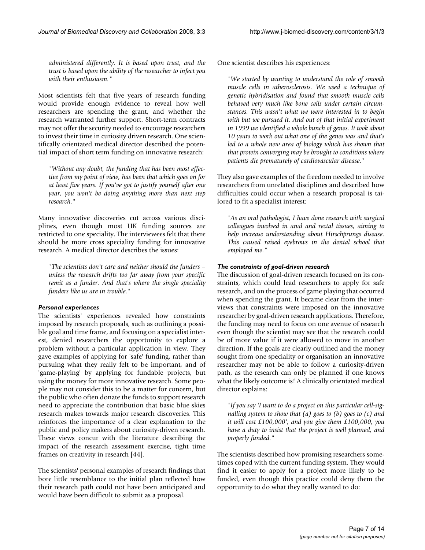*administered differently. It is based upon trust, and the trust is based upon the ability of the researcher to infect you with their enthusiasm."*

Most scientists felt that five years of research funding would provide enough evidence to reveal how well researchers are spending the grant, and whether the research warranted further support. Short-term contracts may not offer the security needed to encourage researchers to invest their time in curiosity driven research. One scientifically orientated medical director described the potential impact of short term funding on innovative research:

*"Without any doubt, the funding that has been most effective from my point of view, has been that which goes on for at least five years. If you've got to justify yourself after one year, you won't be doing anything more than next step research."*

Many innovative discoveries cut across various disciplines, even though most UK funding sources are restricted to one speciality. The interviewees felt that there should be more cross speciality funding for innovative research. A medical director describes the issues:

*"The scientists don't care and neither should the funders – unless the research drifts too far away from your specific remit as a funder. And that's where the single speciality funders like us are in trouble."*

#### *Personal experiences*

The scientists' experiences revealed how constraints imposed by research proposals, such as outlining a possible goal and time frame, and focusing on a specialist interest, denied researchers the opportunity to explore a problem without a particular application in view. They gave examples of applying for 'safe' funding, rather than pursuing what they really felt to be important, and of 'game-playing' by applying for fundable projects, but using the money for more innovative research. Some people may not consider this to be a matter for concern, but the public who often donate the funds to support research need to appreciate the contribution that basic blue skies research makes towards major research discoveries. This reinforces the importance of a clear explanation to the public and policy makers about curiosity-driven research. These views concur with the literature describing the impact of the research assessment exercise, tight time frames on creativity in research [44].

The scientists' personal examples of research findings that bore little resemblance to the initial plan reflected how their research path could not have been anticipated and would have been difficult to submit as a proposal.

One scientist describes his experiences:

*"We started by wanting to understand the role of smooth muscle cells in atherosclerosis. We used a technique of genetic hybridisation and found that smooth muscle cells behaved very much like bone cells under certain circumstances. This wasn't what we were interested in to begin with but we pursued it. And out of that initial experiment in 1999 we identified a whole bunch of genes. It took about 10 years to work out what one of the genes was and that's led to a whole new area of biology which has shown that that protein converging may be brought to conditions where patients die prematurely of cardiovascular disease."*

They also gave examples of the freedom needed to involve researchers from unrelated disciplines and described how difficulties could occur when a research proposal is tailored to fit a specialist interest:

*"As an oral pathologist, I have done research with surgical colleagues involved in anal and rectal tissues, aiming to help increase understanding about Hirschprungs disease. This caused raised eyebrows in the dental school that employed me."*

## *The constraints of goal-driven research*

The discussion of goal-driven research focused on its constraints, which could lead researchers to apply for safe research, and on the process of game playing that occurred when spending the grant. It became clear from the interviews that constraints were imposed on the innovative researcher by goal-driven research applications. Therefore, the funding may need to focus on one avenue of research even though the scientist may see that the research could be of more value if it were allowed to move in another direction. If the goals are clearly outlined and the money sought from one speciality or organisation an innovative researcher may not be able to follow a curiosity-driven path, as the research can only be planned if one knows what the likely outcome is! A clinically orientated medical director explains:

*"If you say 'I want to do a project on this particular cell-signalling system to show that (a) goes to (b) goes to (c) and it will cost £100,000', and you give them £100,000, you have a duty to insist that the project is well planned, and properly funded."*

The scientists described how promising researchers sometimes coped with the current funding system. They would find it easier to apply for a project more likely to be funded, even though this practice could deny them the opportunity to do what they really wanted to do: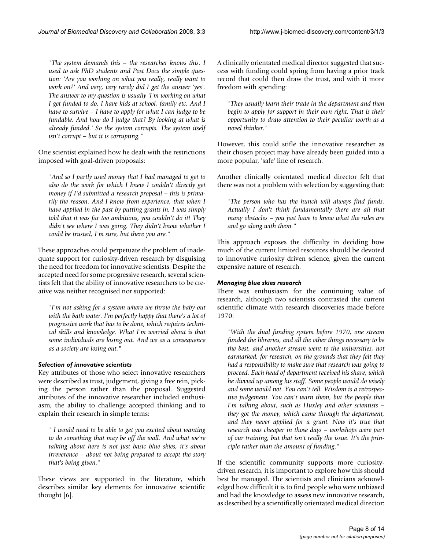*"The system demands this – the researcher knows this. I used to ask PhD students and Post Docs the simple question: 'Are you working on what you really, really want to work on?' And very, very rarely did I get the answer 'yes'. The answer to my question is usually 'I'm working on what I get funded to do. I have kids at school, family etc. And I have to survive – I have to apply for what I can judge to be fundable. And how do I judge that? By looking at what is already funded.' So the system corrupts. The system itself isn't corrupt – but it is corrupting."*

One scientist explained how he dealt with the restrictions imposed with goal-driven proposals:

*"And so I partly used money that I had managed to get to also do the work for which I knew I couldn't directly get money if I'd submitted a research proposal – this is primarily the reason. And I know from experience, that when I have applied in the past by putting grants in, I was simply told that it was far too ambitious, you couldn't do it! They didn't see where I was going. They didn't know whether I could be trusted, I'm sure, but there you are."*

These approaches could perpetuate the problem of inadequate support for curiosity-driven research by disguising the need for freedom for innovative scientists. Despite the accepted need for some progressive research, several scientists felt that the ability of innovative researchers to be creative was neither recognised nor supported:

*"I'm not asking for a system where we throw the baby out with the bath water. I'm perfectly happy that there's a lot of progressive work that has to be done, which requires technical skills and knowledge. What I'm worried about is that some individuals are losing out. And we as a consequence as a society are losing out."*

#### *Selection of innovative scientists*

Key attributes of those who select innovative researchers were described as trust, judgement, giving a free rein, picking the person rather than the proposal. Suggested attributes of the innovative researcher included enthusiasm, the ability to challenge accepted thinking and to explain their research in simple terms:

*" I would need to be able to get you excited about wanting to do something that may be off the wall. And what we're talking about here is not just basic blue skies, it's about irreverence – about not being prepared to accept the story that's being given."*

These views are supported in the literature, which describes similar key elements for innovative scientific thought [6].

A clinically orientated medical director suggested that success with funding could spring from having a prior track record that could then draw the trust, and with it more freedom with spending:

*"They usually learn their trade in the department and then begin to apply for support in their own right. That is their opportunity to draw attention to their peculiar worth as a novel thinker."*

However, this could stifle the innovative researcher as their chosen project may have already been guided into a more popular, 'safe' line of research.

Another clinically orientated medical director felt that there was not a problem with selection by suggesting that:

*"The person who has the hunch will always find funds. Actually I don't think fundamentally there are all that many obstacles – you just have to know what the rules are and go along with them."*

This approach exposes the difficulty in deciding how much of the current limited resources should be devoted to innovative curiosity driven science, given the current expensive nature of research.

#### *Managing blue skies research*

There was enthusiasm for the continuing value of research, although two scientists contrasted the current scientific climate with research discoveries made before 1970:

*"With the dual funding system before 1970, one stream funded the libraries, and all the other things necessary to be the best, and another stream went to the universities, not earmarked, for research, on the grounds that they felt they had a responsibility to make sure that research was going to proceed. Each head of department received his share, which he divvied up among his staff. Some people would do wisely and some would not. You can't tell. Wisdom is a retrospective judgement. You can't warn them, but the people that I'm talking about, such as Huxley and other scientists – they got the money, which came through the department, and they never applied for a grant. Now it's true that research was cheaper in those days – workshops were part of our training, but that isn't really the issue. It's the principle rather than the amount of funding."*

If the scientific community supports more curiositydriven research, it is important to explore how this should best be managed. The scientists and clinicians acknowledged how difficult it is to find people who were unbiased and had the knowledge to assess new innovative research, as described by a scientifically orientated medical director: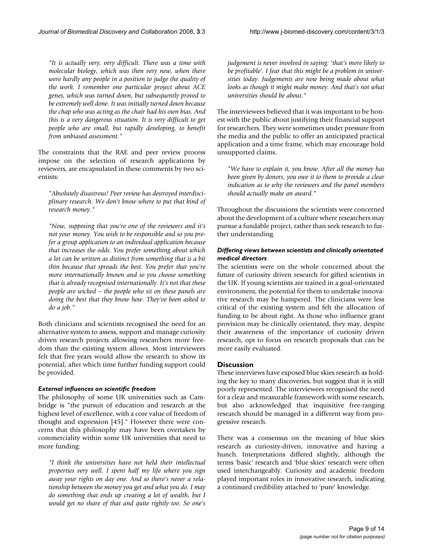*"It is actually very, very difficult. There was a time with molecular biology, which was then very new, when there were hardly any people in a position to judge the quality of the work. I remember one particular project about ACE genes, which was turned down, but subsequently proved to be extremely well done. It was initially turned down because the chap who was acting as the chair had his own bias. And this is a very dangerous situation. It is very difficult to get people who are small, but rapidly developing, to benefit from unbiased assessment."*

The constraints that the RAE and peer review process impose on the selection of research applications by reviewers, are encapsulated in these comments by two scientists:

*"Absolutely disastrous! Peer review has destroyed interdisciplinary research. We don't know where to put that kind of research money."*

*"Now, supposing that you're one of the reviewers and it's not your money. You wish to be responsible and so you prefer a group application to an individual application because that increases the odds. You prefer something about which a lot can be written as distinct from something that is a bit thin because that spreads the best. You prefer that you're more internationally known and so you choose something that is already recognised internationally. It's not that these people are wicked – the people who sit on these panels are doing the best that they know how. They've been asked to do a job."*

Both clinicians and scientists recognised the need for an alternative system to assess, support and manage curiosity driven research projects allowing researchers more freedom than the existing system allows. Most interviewees felt that five years would allow the research to show its potential, after which time further funding support could be provided.

## *External influences on scientific freedom*

The philosophy of some UK universities such as Cambridge is "the pursuit of education and research at the highest level of excellence, with a core value of freedom of thought and expression [45]." However there were concerns that this philosophy may have been overtaken by commerciality within some UK universities that need to more funding:

*"I think the universities have not held their intellectual properties very well. I spent half my life where you sign away your rights on day one. And so there's never a relationship between the money you get and what you do. I may do something that ends up creating a lot of wealth, but I would get no share of that and quite rightly too. So one's* *judgement is never involved in saying: 'that's more likely to be profitable'. I fear that this might be a problem in universities today. Judgements are now being made about what looks as though it might make money. And that's not what universities should be about."*

The interviewees believed that it was important to be honest with the public about justifying their financial support for researchers. They were sometimes under pressure from the media and the public to offer an anticipated practical application and a time frame, which may encourage bold unsupported claims.

*"We have to explain it, you know. After all the money has been given by donors, you owe it to them to provide a clear indication as to why the reviewers and the panel members should actually make an award."*

Throughout the discussions the scientists were concerned about the development of a culture where researchers may pursue a fundable project, rather than seek research to further understanding.

## *Differing views between scientists and clinically orientated medical directors*

The scientists were on the whole concerned about the future of curiosity driven research for gifted scientists in the UK. If young scientists are trained in a goal-orientated environment, the potential for them to undertake innovative research may be hampered. The clinicians were less critical of the existing system and felt the allocation of funding to be about right. As those who influence grant provision may be clinically orientated, they may, despite their awareness of the importance of curiosity driven research, opt to focus on research proposals that can be more easily evaluated.

### **Discussion**

These interviews have exposed blue skies research as holding the key to many discoveries, but suggest that it is still poorly represented. The interviewees recognised the need for a clear and measurable framework with some research, but also acknowledged that inquisitive free-ranging research should be managed in a different way from progressive research.

There was a consensus on the meaning of blue skies research as curiosity-driven, innovative and having a hunch. Interpretations differed slightly, although the terms 'basic' research and 'blue skies' research were often used interchangeably. Curiosity and academic freedom played important roles in innovative research, indicating a continued credibility attached to 'pure' knowledge.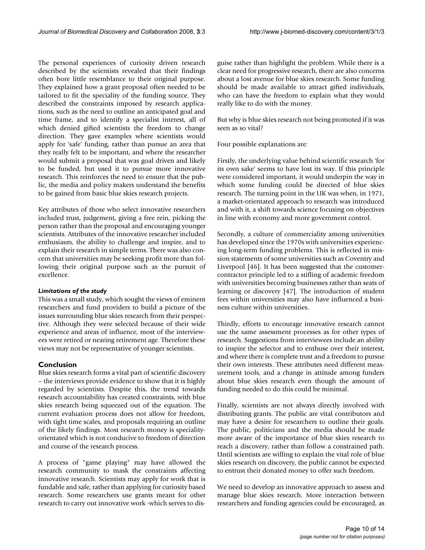The personal experiences of curiosity driven research described by the scientists revealed that their findings often bore little resemblance to their original purpose. They explained how a grant proposal often needed to be tailored to fit the speciality of the funding source. They described the constraints imposed by research applications, such as the need to outline an anticipated goal and time frame, and to identify a specialist interest, all of which denied gifted scientists the freedom to change direction. They gave examples where scientists would apply for 'safe' funding, rather than pursue an area that they really felt to be important, and where the researcher would submit a proposal that was goal driven and likely to be funded, but used it to pursue more innovative research. This reinforces the need to ensure that the public, the media and policy makers understand the benefits to be gained from basic blue skies research projects.

Key attributes of those who select innovative researchers included trust, judgement, giving a free rein, picking the person rather than the proposal and encouraging younger scientists. Attributes of the innovative researcher included enthusiasm, the ability to challenge and inspire, and to explain their research in simple terms. There was also concern that universities may be seeking profit more than following their original purpose such as the pursuit of excellence.

#### *Limitations of the study*

This was a small study, which sought the views of eminent researchers and fund providers to build a picture of the issues surrounding blue skies research from their perspective. Although they were selected because of their wide experience and areas of influence, most of the interviewees were retired or nearing retirement age. Therefore these views may not be representative of younger scientists.

#### **Conclusion**

Blue skies research forms a vital part of scientific discovery – the interviews provide evidence to show that it is highly regarded by scientists. Despite this, the trend towards research accountability has created constraints, with blue skies research being squeezed out of the equation. The current evaluation process does not allow for freedom, with tight time scales, and proposals requiring an outline of the likely findings. Most research money is specialityorientated which is not conducive to freedom of direction and course of the research process.

A process of "game playing" may have allowed the research community to mask the constraints affecting innovative research. Scientists may apply for work that is fundable and safe, rather than applying for curiosity based research. Some researchers use grants meant for other research to carry out innovative work -which serves to disguise rather than highlight the problem. While there is a clear need for progressive research, there are also concerns about a lost avenue for blue skies research. Some funding should be made available to attract gifted individuals, who can have the freedom to explain what they would really like to do with the money.

But why is blue skies research not being promoted if it was seen as so vital?

Four possible explanations are:

Firstly, the underlying value behind scientific research 'for its own sake' seems to have lost its way. If this principle were considered important, it would underpin the way in which some funding could be directed of blue skies research. The turning point in the UK was when, in 1971, a market-orientated approach to research was introduced and with it, a shift towards science focusing on objectives in line with economy and more government control.

Secondly, a culture of commerciality among universities has developed since the 1970s with universities experiencing long-term funding problems. This is reflected in mission statements of some universities such as Coventry and Liverpool [46]. It has been suggested that the customercontractor principle led to a stifling of academic freedom with universities becoming businesses rather than seats of learning or discovery [47]. The introduction of student fees within universities may also have influenced a business culture within universities.

Thirdly, efforts to encourage innovative research cannot use the same assessment processes as for other types of research. Suggestions from interviewees include an ability to inspire the selector and to enthuse over their interest, and where there is complete trust and a freedom to pursue their own interests. These attributes need different measurement tools, and a change in attitude among funders about blue skies research even though the amount of funding needed to do this could be minimal.

Finally, scientists are not always directly involved with distributing grants. The public are vital contributors and may have a desire for researchers to outline their goals. The public, politicians and the media should be made more aware of the importance of blue skies research to reach a discovery, rather than follow a constrained path. Until scientists are willing to explain the vital role of blue skies research on discovery, the public cannot be expected to entrust their donated money to offer such freedom.

We need to develop an innovative approach to assess and manage blue skies research. More interaction between researchers and funding agencies could be encouraged, as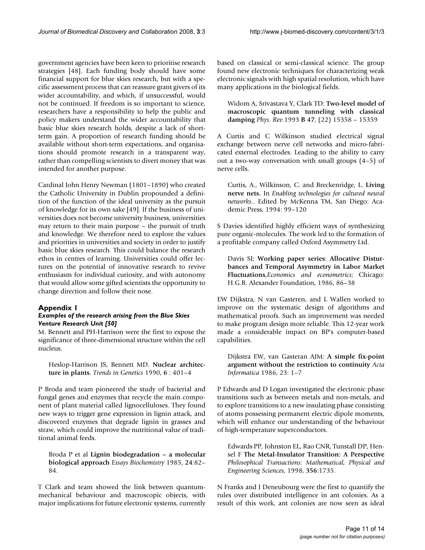government agencies have been keen to prioritise research strategies [48]. Each funding body should have some financial support for blue skies research, but with a specific assessment process that can reassure grant givers of its wider accountability, and which, if unsuccessful, would not be continued. If freedom is so important to science, researchers have a responsibility to help the public and policy makers understand the wider accountability that basic blue skies research holds, despite a lack of shortterm gain. A proportion of research funding should be available without short-term expectations, and organisations should promote research in a transparent way, rather than compelling scientists to divert money that was intended for another purpose.

Cardinal John Henry Newman (1801–1890) who created the Catholic University in Dublin propounded a definition of the function of the ideal university as the pursuit of knowledge for its own sake [49]. If the business of universities does not become university business, universities may return to their main purpose – the pursuit of truth and knowledge. We therefore need to explore the values and priorities in universities and society in order to justify basic blue skies research. This could balance the research ethos in centres of learning. Universities could offer lectures on the potential of innovative research to revive enthusiasm for individual curiosity, and with autonomy that would allow some gifted scientists the opportunity to change direction and follow their nose.

## **Appendix 1**

## *Examples of the research arising from the Blue Skies Venture Research Unit [50]*

M. Bennett and PH-Harrison were the first to expose the significance of three-dimensional structure within the cell nucleus.

Heslop-Harrison JS, Bennett MD. **Nuclear architecture in plants**. *Trends in Genetics* 1990, **6** : 401–4

P Broda and team pioneered the study of bacterial and fungal genes and enzymes that recycle the main component of plant material called lignocelluloses. They found new ways to trigger gene expression in lignin attack, and discovered enzymes that degrade lignin in grasses and straw, which could improve the nutritional value of traditional animal feeds.

Broda P et al **Lignin biodegradation – a molecular biological approach** *Essays Biochemistry* 1985, **24**:82– 84.

T Clark and team showed the link between quantummechanical behaviour and macroscopic objects, with major implications for future electronic systems, currently based on classical or semi-classical science. The group found new electronic techniques for characterizing weak electronic signals with high spatial resolution, which have many applications in the biological fields.

Widom A, Srivastava Y, Clark TD: **Two-level model of macroscopic quantum tunneling with classical damping** *Phys. Rev*.1993 **B 47**, (22) 15358 – 15359

A Curtis and C Wilkinson studied electrical signal exchange between nerve cell networks and micro-fabricated external electrodes. Leading to the ability to carry out a two-way conversation with small groups (4–5) of nerve cells.

Curtis, A., Wilkinson, C. and Breckenridge, L. **Living nerve nets.** In *Enabling technologies for cultured neural networks*.. Edited by McKenna TM, San Diego: Academic Press, 1994: 99–120

S Davies identified highly efficient ways of synthesizing pure organic-molecules. The work led to the formation of a profitable company called Oxford Asymmetry Ltd.

Davis SJ; **Working paper series**: **Allocative Disturbances and Temporal Asymmetry in Labor Market Fluctuations**,*Economics and econometrics*; Chicago: H.G.B. Alexander Foundation, 1986, 86–38

EW Dijkstra, N van Gasteren, and L Wallen worked to improve on the systematic design of algorithms and mathematical proofs. Such an improvement was needed to make program design more reliable. This 12-year work made a considerable impact on BP's computer-based capabilities.

Dijkstra EW, van Gasteran AJM: **A simple fix-point argument without the restriction to continuity** *Acta Informatica* 1986, 23: 1–7

P Edwards and D Logan investigated the electronic phase transitions such as between metals and non-metals, and to explore transitions to a new insulating phase consisting of atoms possessing permanent electric dipole moments, which will enhance our understanding of the behaviour of high-temperature superconductors.

Edwards PP, Johnston EL, Rao CNR, Tunstall DP, Hensel F **The Metal-Insulator Transition: A Perspective** *Philosophical Transactions: Mathematical, Physical and Engineering Sciences*, 1998, **356**:1735.

N Franks and J Deneubourg were the first to quantify the rules over distributed intelligence in ant colonies. As a result of this work, ant colonies are now seen as ideal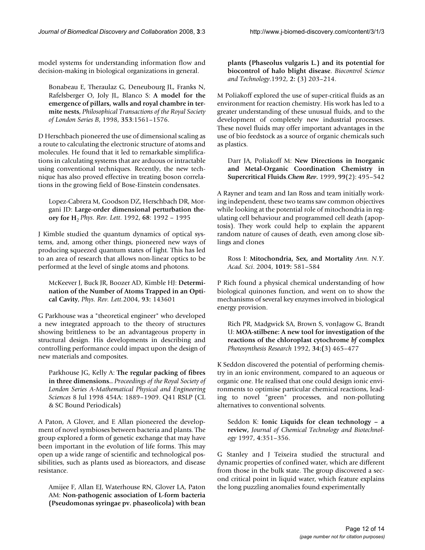model systems for understanding information flow and decision-making in biological organizations in general.

Bonabeau E, Theraulaz G, Deneubourg JL, Franks N, Rafelsberger O, Joly JL, Blanco S: **A model for the emergence of pillars, walls and royal chambre in termite nests**, *Philosophical Transactions of the Royal Society of London Series B*, 1998, **353**:1561–1576.

D Herschbach pioneered the use of dimensional scaling as a route to calculating the electronic structure of atoms and molecules. He found that it led to remarkable simplifications in calculating systems that are arduous or intractable using conventional techniques. Recently, the new technique has also proved effective in treating boson correlations in the growing field of Bose-Einstein condensates.

Lopez-Cabrera M, Goodson DZ, Herschbach DR, Morgani JD: **Large-order dimensional perturbation theory for H**2 *Phys. Rev. Lett*. 1992, **68**: 1992 – 1995

J Kimble studied the quantum dynamics of optical systems, and, among other things, pioneered new ways of producing squeezed quantum states of light. This has led to an area of research that allows non-linear optics to be performed at the level of single atoms and photons.

McKeever J, Buck JR, Boozer AD, Kimble HJ: **Determination of the Number of Atoms Trapped in an Optical Cavity**, *Phys. Rev. Lett.*2004, **93:** 143601

G Parkhouse was a "theoretical engineer" who developed a new integrated approach to the theory of structures showing brittleness to be an advantageous property in structural design. His developments in describing and controlling performance could impact upon the design of new materials and composites.

Parkhouse JG, Kelly A: **The regular packing of fibres in three dimensions..** *Proceedings of the Royal Society of London Series A-Mathematical Physical and Engineering Sciences* 8 Jul 1998 454A: 1889–1909. Q41 RSLP (CL & SC Bound Periodicals)

A Paton, A Glover, and E Allan pioneered the development of novel symbioses between bacteria and plants. The group explored a form of genetic exchange that may have been important in the evolution of life forms. This may open up a wide range of scientific and technological possibilities, such as plants used as bioreactors, and disease resistance.

Amijee F, Allan EJ, Waterhouse RN, Glover LA, Paton AM: **Non-pathogenic association of L-form bacteria (Pseudomonas syringae pv. phaseolicola) with bean**

**plants (Phaseolus vulgaris L.) and its potential for biocontrol of halo blight disease**. *Biocontrol Science and Technology*.1992, **2:** (3) 203–214.

M Poliakoff explored the use of super-critical fluids as an environment for reaction chemistry. His work has led to a greater understanding of these unusual fluids, and to the development of completely new industrial processes. These novel fluids may offer important advantages in the use of bio feedstock as a source of organic chemicals such as plastics.

Darr JA, Poliakoff M: **New Directions in Inorganic and Metal-Organic Coordination Chemistry in Supercritical Fluids**.*Chem Rev***.** 1999, **99**(2): 495–542

A Rayner and team and Ian Ross and team initially working independent, these two teams saw common objectives while looking at the potential role of mitochondria in regulating cell behaviour and programmed cell death (apoptosis). They work could help to explain the apparent random nature of causes of death, even among close siblings and clones

Ross I: **Mitochondria, Sex, and Mortality** *Ann. N.Y. Acad. Sci*. 2004, **1019:** 581–584

P Rich found a physical chemical understanding of how biological quinones function, and went on to show the mechanisms of several key enzymes involved in biological energy provision.

Rich PR, Madgwick SA, Brown S, vonJagow G, Brandt U: **MOA-stilbene: A new tool for investigation of the reactions of the chloroplast cytochrome** *bf* **complex** *Photosynthesis Research* 1992, **34:(**3) 465–477

K Seddon discovered the potential of performing chemistry in an ionic environment, compared to an aqueous or organic one. He realised that one could design ionic environments to optimise particular chemical reactions, leading to novel "green" processes, and non-polluting alternatives to conventional solvents.

Seddon K: **Ionic Liquids for clean technology – a review,** *Journal of Chemical Technology and Biotechnology* 1997, **4**:351–356.

G Stanley and J Teixeira studied the structural and dynamic properties of confined water, which are different from those in the bulk state. The group discovered a second critical point in liquid water, which feature explains the long puzzling anomalies found experimentally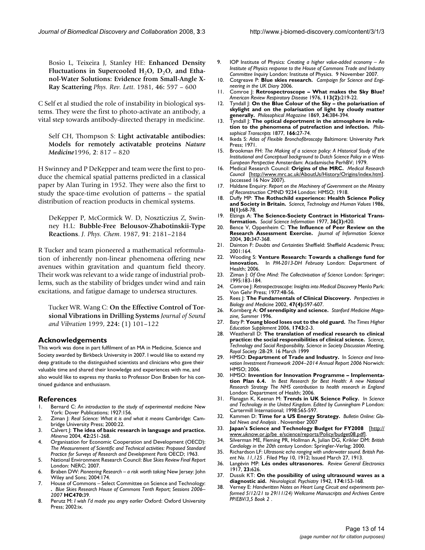Bosio L, Teixeira J, Stanley HE: **Enhanced Density** Fluctuations in Supercooled H<sub>2</sub>O, D<sub>2</sub>O, and Etha**nol-Water Solutions: Evidence from Small-Angle X-Ray Scattering** *Phys. Rev. Lett*. 1981, **46:** 597 – 600

C Self et al studied the role of instability in biological systems. They were the first to photo-activate an antibody, a vital step towards antibody-directed therapy in medicine.

Self CH, Thompson S: **Light activatable antibodies: Models for remotely activatable proteins** *Nature Medicine*1996, **2**: 817 – 820

H Swinney and P DeKepper and team were the first to produce the chemical spatial patterns predicted in a classical paper by Alan Turing in 1952. They were also the first to study the space-time evolution of patterns – the spatial distribution of reaction products in chemical systems.

DeKepper P, McCormick W. D, Noszticzius Z, Swinney H.L: **Bubble-Free Belousov-Zhabotinskii-Type Reactions**. *J. Phys. Chem*. 1987, **91**: 2181–2184

R Tucker and team pioneered a mathematical reformulation of inherently non-linear phenomena offering new avenues within gravitation and quantum field theory. Their work was relevant to a wide range of industrial problems, such as the stability of bridges under wind and rain excitations, and fatigue damage to undersea structures.

Tucker WR. Wang C: **On the Effective Control of Torsional Vibrations in Drilling Systems** *Journal of Sound and Vibration* 1999, **224:** (1) 101–122

#### **Acknowledgements**

This work was done in part fulfilment of an MA in Medicine, Science and Society awarded by Birkbeck University in 2007. I would like to extend my deep gratitude to the distinguished scientists and clinicians who gave their valuable time and shared their knowledge and experiences with me, and also would like to express my thanks to Professor Don Braben for his continued guidance and enthusiasm.

#### **References**

- 1. Bernard C: *An introduction to the study of experimental medicine* New York: Dover Publications; 1927:156.
- 2. Ziman J: *Real Science: What it is and what it means* Cambridge: Cambridge University Press; 2000:22.
- 3. Calvert J: **The idea of basic research in language and practice.** *Minerva* 2004, **42:**251-268.
- 4. Organisation for Economic Cooperation and Development (OECD): *The Measurement of Scientific and Technical activities: Proposed Standard Practice for Surveys of Research and Development Paris* OECD; 1963.
- 5. National Environment Research Council: *Blue Skies Review Final Report* London: NERC; 2007.
- 6. Braben DW: *Pioneering Research a risk worth taking* New Jersey: John Wiley and Sons; 2004:174.
- 7. House of Commons Select Committee on Science and Technology: **.** *Blue Skies Research House of Commons Tenth Report; Sessions 2006– 2007* **HC470:**39.
- 8. Perutz M: *I wish I'd made you angry earlier* Oxford: Oxford University Press; 2002:ix.
- 9. IOP Institute of Physics: *Creating a higher value-added economy An Institute of Physics response to the House of Commons Trade and Industry Committee Inquiry* London: Institute of Physics. 9 November 2007.
- 10. Cotgreave P: **Blue skies research.** *Campaign for Science and Engineering in the UK Diary* 2006.
- 11. Comroe J: **Retrospectroscope What makes the Sky Blue?** *American Review Respiratory Disease* 1976, **113(2):**219-22.
- 12. Tyndall J: **On the Blue Colour of the Sky the polarisation of skylight and on the polarisation of light by cloudy matter generally.** *Philosophical Magazine* 1869, **34:**384-394.
- 13. Tyndall J: **The optical deportment in the atmosphere in relation to the phenomena of putrefaction and infection.** *Philosophical Transcripts* 1877, **166:**27-74.
- 14. Ikeda S: *Atlas of Flexible Bronchofibroscopy* Baltimore: University Park Press; 1971.
- 15. Brookman FH: *The Making of a science policy: A Historical Study of the Institutional and Conceptual background to Dutch Science Policy in a West-European Perspective* Amsterdam: Acadamische PerhBV; 1979.
- 16. Medical Research Council: **Origins of the MRC.** *Medical Research Council* [[http://www.mrc.ac.uk/AboutUs/History/Origins/index.htm\]](http://www.mrc.ac.uk/AboutUs/History/Origins/index.htm). (accessed 16 Nov 2007).
- 17. Haldane Enquiry: *Report on the Machinery of Government on the Ministry of Reconstruction* CMND 9234 London: HMSO; 1918.
- 18. Duffy MP: **The Rothschild experience: Health Science Policy and Society in Britain.** *Science, Technology and Human Values* 1986, **II(1):**68-78.
- 19. Elzinga A: **The Science-Society Contract in Historical Transformation.** *Social Science Information* 1977, **36(3):**420.
- 20. Bence V, Oppenheim C: **The Influence of Peer Review on the Research Assessment Exercise.** *Journal of Information Science* 2004, **30:**347-368.
- 21. Dainton F: *Doubts and Certainties* Sheffield: Sheffield Academic Press; 2001:164.
- 22. Wooding S: **Venture Research: Towards a challenge fund for innovation.** In *PM-2013-DH February* London: Department of Health; 2006.
- 23. Ziman J: *Of One Mind: The Collectivisation of Science* London: Springer; 1995:183-184.
- 24. Comroe J: *Retrospectroscope: Insights into Medical Discovery* Menlo Park: Von Gehr Press; 1977:48-56.
- 25. Rees J: **The Fundamentals of Clinical Discovery.** *Perspectives in Biology and Medicine* 2002, **47(4):**597-607.
- 26. Kornberg A: **Of serendipity and science.** *Stanford Medicine Magazine, Summer* 1996.
- 27. Baty P: **Young blood loses out to the old guard.** *The Times Higher Education Supplement* 2006, **1743:**2-3.
- 28. Weatherall D: **The translation of medical research to clinical practice: the social responsibilities of clinical science.** *Science, Technology and Social Responsibility. Science in Society Discussion Meeting, Royal Society* :28-29. 16 March 1999
- 29. HMSO: **Department of Trade and Industry.** In *Science and Innovation Investment Framework 2004–2014 Annual Report 2006* Norwich: HMSO; 2006.
- 30. HMSO: **Invention for Innovation Programme Implementation Plan 6.4.** In *Best Research for Best Health: A new National Research Strategy The NHS contribution to health research in England* London: Department of Health; 2006.
- 31. Flanagan K, Keenan M: **Trends in UK Science Policy.** In *Science and Technology in the United Kingdom. Edited by Cunningham P* London: Cartermill International; 1998:565-597.
- 32. Kammen D: **Time for a US Energy Strategy.** *Bulletin Online: Global News and Analysis* . November 2007
- 33. **Japan's Science and Technology Budget for FY2008** [\[http://](http://www.uknow.or.jp/be_e/science/reports/Policy/budget08.pdf) [www.uknow.or.jp/be\\_e/science/reports/Policy/budget08.pdf](http://www.uknow.or.jp/be_e/science/reports/Policy/budget08.pdf)]
- 34. Silverman ME, Fleming PR, Hollman A, Julian DG, Krikler DM: *British Cardiology in the 20th century* London: Springler-Verlag; 2000.
- 35. Richardson LF: *Ultrasonic echo ranging with underwater sound. British Patent No. 11,125* . Filed May 10, 1912; Issued March 27, 1913.
- 36. Langévin MP: **Lés ondes ultrasonores.** *Review General Electronics* 1917, **23:**626.
- 37. Dussik KT: **On the possibility of using ultrasound waves as a diagnostic aid.** *Neurological. Psychiatry* 1942, **174:**153-168.
- 38. Verney E: *Handwritten Notes on Heart Lung Circuit and experiments performed 5/12/21 to 29/11/24) Wellcome Manuscripts and Archives Centre PP/EBV/3,5 Book 2* .